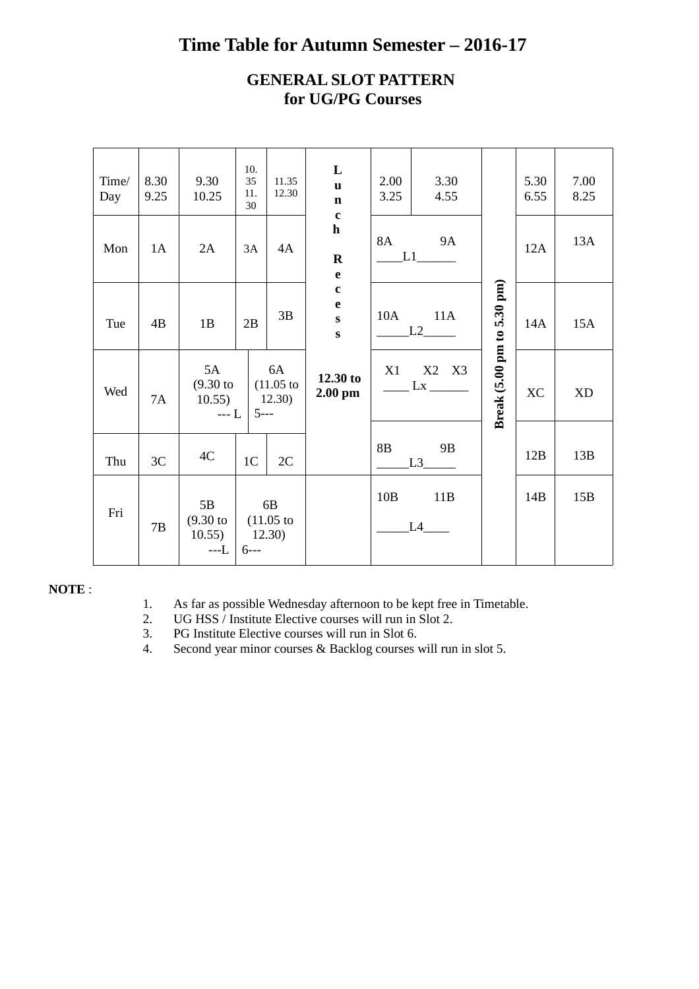## **Time Table for Autumn Semester – 2016-17**

### **GENERAL SLOT PATTERN for UG/PG Courses**

| Time/<br>Day | 8.30<br>9.25 | 9.30<br>10.25                                                    | 10.<br>35<br>11.<br>30 | 11.35<br>12.30               | L<br>$\mathbf{u}$<br>$\mathbf n$<br>$\mathbf c$   | 2.00<br>3.25   | 3.30<br>4.55            |                            | 5.30<br>6.55 | 7.00<br>8.25 |
|--------------|--------------|------------------------------------------------------------------|------------------------|------------------------------|---------------------------------------------------|----------------|-------------------------|----------------------------|--------------|--------------|
| Mon          | 1A           | 2A                                                               | 3A                     | 4A                           | $\mathbf h$<br>$\bf R$<br>$\mathbf e$             | 8A             | <b>9A</b><br>L1         |                            | 12A          | 13A          |
| Tue          | 4B           | 1B                                                               | 2B                     | 3B                           | $\mathbf{C}$<br>e<br>$\mathbf{s}$<br>$\mathbf{s}$ | 10A            | 11A<br>L2               |                            | 14A          | 15A          |
| Wed          | 7A           | 5A<br>$(9.30)$ to<br>10.55)<br>$-- L$                            | $5--$                  | 6A<br>$(11.05)$ to<br>12.30) | 12.30 to<br>$2.00$ pm                             | X1             | X2 X3<br>$\frac{Lx}{2}$ | Break (5.00 pm to 5.30 pm) | <b>XC</b>    | <b>XD</b>    |
| Thu          | 3C           | 4C                                                               | 1 <sub>C</sub>         | 2C                           |                                                   | 8 <sub>B</sub> | 9B<br>L <sub>3</sub>    |                            | 12B          | 13B          |
| Fri          | 7B           | 5B<br>$(9.30 \text{ to } (11.05 \text{ to }$<br>10.55)<br>$---L$ | 12.30)<br>$6--$        | 6B                           |                                                   | 10B            | 11B<br>L4               |                            | 14B          | 15B          |

#### **NOTE** :

- 1. As far as possible Wednesday afternoon to be kept free in Timetable.
- 2. UG HSS / Institute Elective courses will run in Slot 2.<br>3. PG Institute Elective courses will run in Slot 6.
- 3. PG Institute Elective courses will run in Slot 6.
- 4. Second year minor courses & Backlog courses will run in slot 5.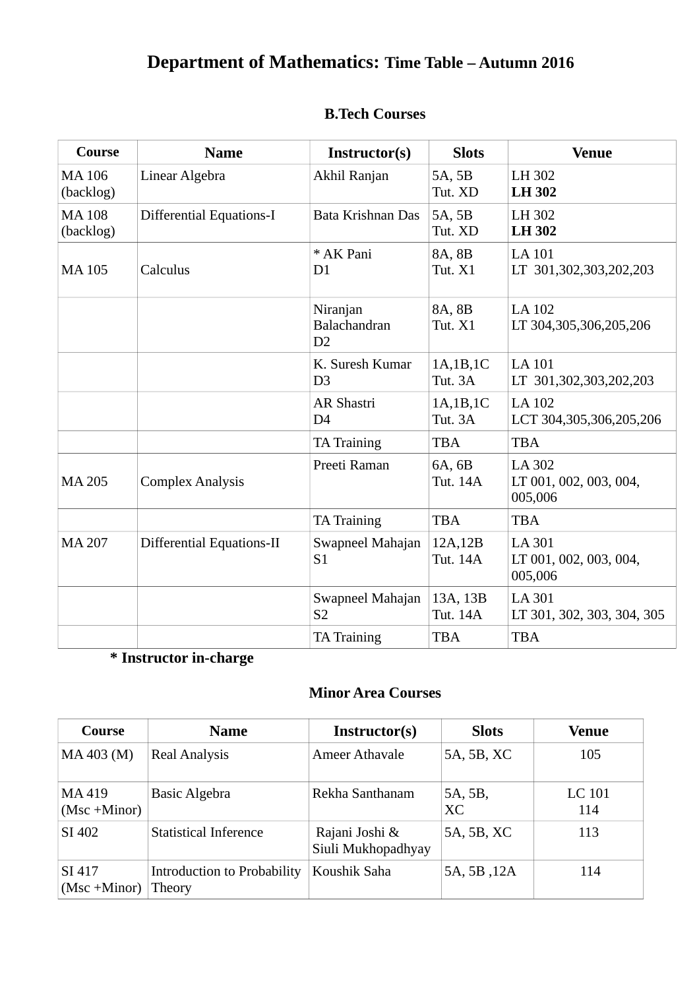| Course                    | <b>Name</b>                     | Instructor(s)                       | <b>Slots</b>         | <b>Venue</b>                                       |
|---------------------------|---------------------------------|-------------------------------------|----------------------|----------------------------------------------------|
| <b>MA106</b><br>(backlog) | Linear Algebra                  | Akhil Ranjan                        | 5A, 5B<br>Tut. XD    | LH 302<br><b>LH 302</b>                            |
| <b>MA108</b><br>(backlog) | <b>Differential Equations-I</b> | Bata Krishnan Das                   | 5A, 5B<br>Tut. XD    | LH 302<br><b>LH302</b>                             |
| <b>MA105</b>              | Calculus                        | * AK Pani<br>D1                     | 8A, 8B<br>Tut. X1    | <b>LA 101</b><br>LT 301,302,303,202,203            |
|                           |                                 | Niranjan<br>Balachandran<br>D2      | 8A, 8B<br>Tut. X1    | LA 102<br>LT 304,305,306,205,206                   |
|                           |                                 | K. Suresh Kumar<br>D <sub>3</sub>   | 1A,1B,1C<br>Tut. 3A  | <b>LA 101</b><br>LT 301,302,303,202,203            |
|                           |                                 | <b>AR Shastri</b><br>D <sub>4</sub> | 1A,1B,1C<br>Tut. 3A  | <b>LA 102</b><br>LCT 304,305,306,205,206           |
|                           |                                 | <b>TA Training</b>                  | <b>TBA</b>           | <b>TBA</b>                                         |
| <b>MA 205</b>             | <b>Complex Analysis</b>         | Preeti Raman                        | 6A, 6B<br>Tut. 14A   | <b>LA 302</b><br>LT 001, 002, 003, 004,<br>005,006 |
|                           |                                 | <b>TA Training</b>                  | <b>TBA</b>           | <b>TBA</b>                                         |
| <b>MA 207</b>             | Differential Equations-II       | Swapneel Mahajan<br>S <sub>1</sub>  | 12A,12B<br>Tut. 14A  | <b>LA 301</b><br>LT 001, 002, 003, 004,<br>005,006 |
|                           |                                 | Swapneel Mahajan<br><b>S2</b>       | 13A, 13B<br>Tut. 14A | <b>LA 301</b><br>LT 301, 302, 303, 304, 305        |
|                           |                                 | <b>TA Training</b>                  | <b>TBA</b>           | <b>TBA</b>                                         |

## **B.Tech Courses**

# **\* Instructor in-charge**

### **Minor Area Courses**

| Course                    | <b>Name</b>                                  | Instructor(s)                        | <b>Slots</b>         | Venue         |
|---------------------------|----------------------------------------------|--------------------------------------|----------------------|---------------|
| MA 403 (M)                | <b>Real Analysis</b>                         | <b>Ameer Athavale</b>                | 5A, 5B, XC           | 105           |
| MA 419<br>$(Msc + Minor)$ | <b>Basic Algebra</b>                         | Rekha Santhanam                      | 5A, 5B,<br><b>XC</b> | LC 101<br>114 |
| SI 402                    | <b>Statistical Inference</b>                 | Rajani Joshi &<br>Siuli Mukhopadhyay | 5A, 5B, XC           | 113           |
| SI 417<br>$(Msc + Minor)$ | <b>Introduction to Probability</b><br>Theory | Koushik Saha                         | 5A, 5B, 12A          | 114           |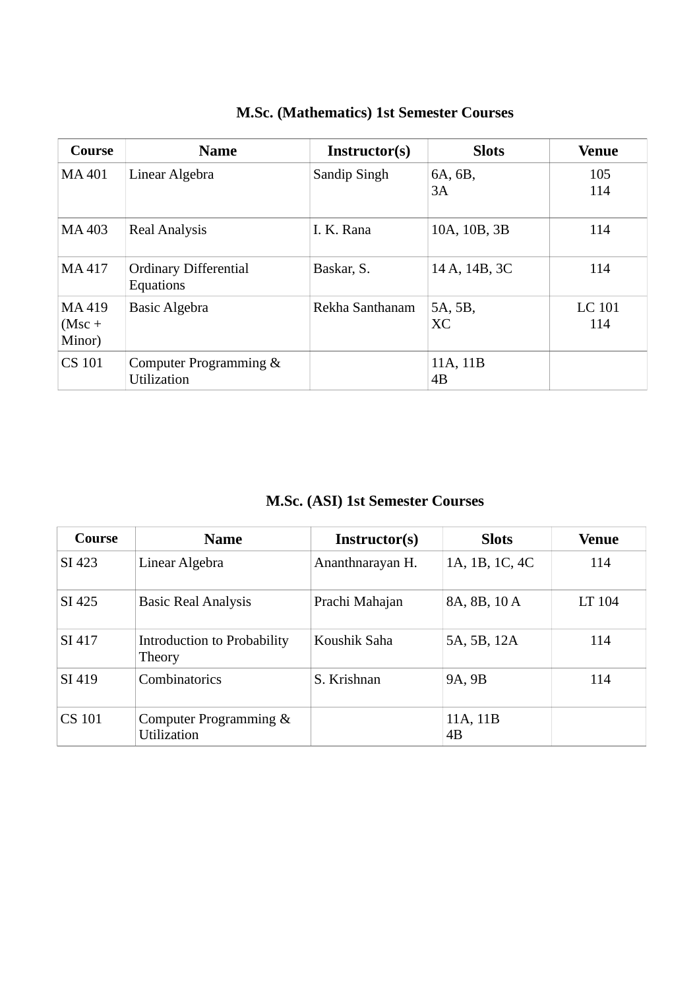| Course                       | <b>Name</b>                                  | Instructor(s)   | <b>Slots</b>   | Venue                |
|------------------------------|----------------------------------------------|-----------------|----------------|----------------------|
| MA 401                       | Linear Algebra                               | Sandip Singh    | 6A, 6B,<br>3A  | 105<br>114           |
| MA 403                       | <b>Real Analysis</b>                         | I. K. Rana      | 10A, 10B, 3B   | 114                  |
| MA 417                       | <b>Ordinary Differential</b><br>Equations    | Baskar, S.      | 14 A, 14B, 3C  | 114                  |
| MA 419<br>$(Msc +$<br>Minor) | <b>Basic Algebra</b>                         | Rekha Santhanam | 5A, 5B,<br>XC  | <b>LC 101</b><br>114 |
| <b>CS 101</b>                | Computer Programming &<br><b>Utilization</b> |                 | 11A, 11B<br>4B |                      |

## **M.Sc. (Mathematics) 1st Semester Courses**

**M.Sc. (ASI) 1st Semester Courses**

| Course        | <b>Name</b>                                  | Instructor(s)    | <b>Slots</b>   | Venue  |
|---------------|----------------------------------------------|------------------|----------------|--------|
| SI 423        | Linear Algebra                               | Ananthnarayan H. | 1A, 1B, 1C, 4C | 114    |
| SI 425        | <b>Basic Real Analysis</b>                   | Prachi Mahajan   | 8A, 8B, 10 A   | LT 104 |
| SI 417        | Introduction to Probability<br>Theory        | Koushik Saha     | 5A, 5B, 12A    | 114    |
| SI 419        | Combinatorics                                | S. Krishnan      | 9A, 9B         | 114    |
| <b>CS 101</b> | Computer Programming &<br><b>Utilization</b> |                  | 11A, 11B<br>4B |        |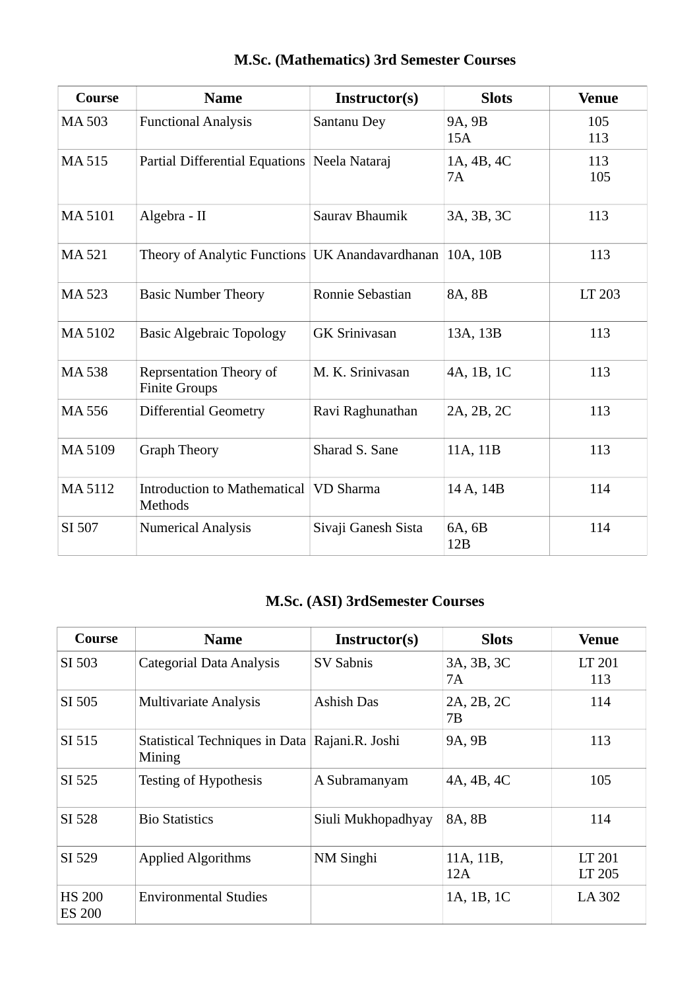| Course        | <b>Name</b>                                              | Instructor(s)        | <b>Slots</b>     | <b>Venue</b> |
|---------------|----------------------------------------------------------|----------------------|------------------|--------------|
| <b>MA503</b>  | <b>Functional Analysis</b>                               | Santanu Dey          | 9A, 9B<br>15A    | 105<br>113   |
| MA 515        | Partial Differential Equations                           | Neela Nataraj        | 1A, 4B, 4C<br>7A | 113<br>105   |
| <b>MA5101</b> | Algebra - II                                             | Saurav Bhaumik       | 3A, 3B, 3C       | 113          |
| MA 521        | Theory of Analytic Functions UK Anandavardhanan 10A, 10B |                      |                  | 113          |
| MA 523        | <b>Basic Number Theory</b>                               | Ronnie Sebastian     | 8A, 8B           | LT 203       |
| MA 5102       | <b>Basic Algebraic Topology</b>                          | <b>GK Srinivasan</b> | 13A, 13B         | 113          |
| <b>MA538</b>  | <b>Reprsentation Theory of</b><br><b>Finite Groups</b>   | M. K. Srinivasan     | 4A, 1B, 1C       | 113          |
| MA 556        | <b>Differential Geometry</b>                             | Ravi Raghunathan     | 2A, 2B, 2C       | 113          |
| MA 5109       | <b>Graph Theory</b>                                      | Sharad S. Sane       | 11A, 11B         | 113          |
| <b>MA5112</b> | Introduction to Mathematical VD Sharma<br><b>Methods</b> |                      | 14 A, 14B        | 114          |
| SI 507        | <b>Numerical Analysis</b>                                | Sivaji Ganesh Sista  | 6A, 6B<br>12B    | 114          |

## **M.Sc. (Mathematics) 3rd Semester Courses**

# **M.Sc. (ASI) 3rdSemester Courses**

| Course                         | <b>Name</b>                                              | Instructor(s)      | <b>Slots</b>     | <b>Venue</b>     |
|--------------------------------|----------------------------------------------------------|--------------------|------------------|------------------|
| SI 503                         | Categorial Data Analysis                                 | <b>SV Sabnis</b>   | 3A, 3B, 3C<br>7A | LT 201<br>113    |
| SI 505                         | <b>Multivariate Analysis</b>                             | Ashish Das         | 2A, 2B, 2C<br>7В | 114              |
| SI 515                         | Statistical Techniques in Data Rajani.R. Joshi<br>Mining |                    | 9A, 9B           | 113              |
| SI 525                         | Testing of Hypothesis                                    | A Subramanyam      | 4A, 4B, 4C       | 105              |
| SI 528                         | <b>Bio Statistics</b>                                    | Siuli Mukhopadhyay | 8A, 8B           | 114              |
| SI 529                         | <b>Applied Algorithms</b>                                | NM Singhi          | 11A, 11B,<br>12A | LT 201<br>LT 205 |
| <b>HS 200</b><br><b>ES 200</b> | <b>Environmental Studies</b>                             |                    | 1A, 1B, 1C       | LA 302           |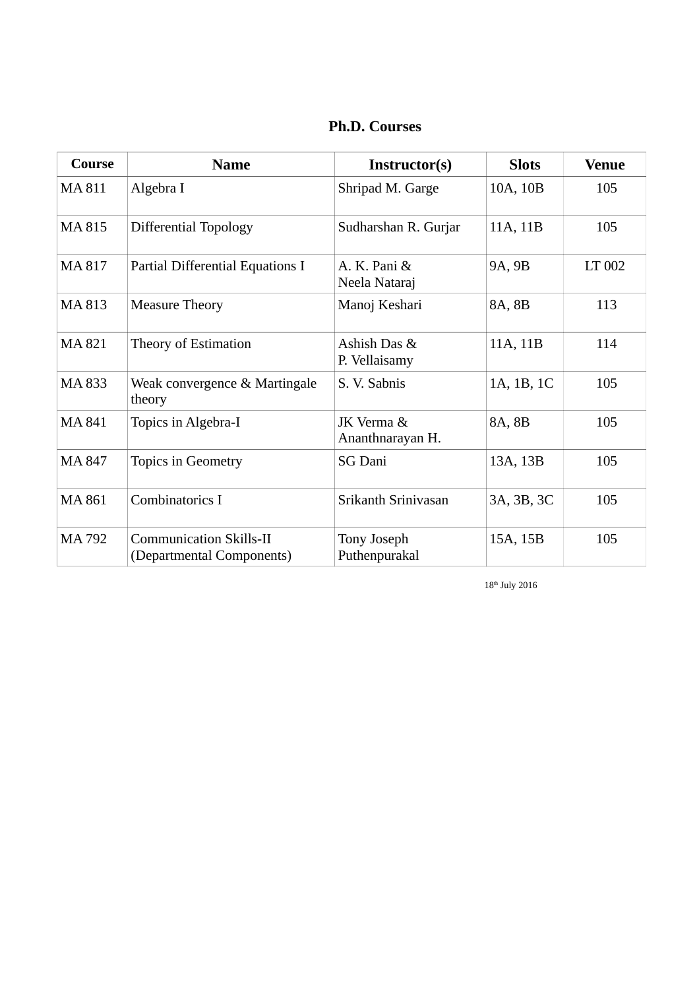| Course | <b>Name</b>                                                 | Instructor(s)                  | <b>Slots</b> | <b>Venue</b> |
|--------|-------------------------------------------------------------|--------------------------------|--------------|--------------|
| MA 811 | Algebra I                                                   | Shripad M. Garge               | 10A, 10B     | 105          |
| MA 815 | <b>Differential Topology</b>                                | Sudharshan R. Gurjar           | 11A, 11B     | 105          |
| MA 817 | Partial Differential Equations I                            | A. K. Pani &<br>Neela Nataraj  | 9A, 9B       | LT 002       |
| MA 813 | <b>Measure Theory</b>                                       | Manoj Keshari                  | 8A, 8B       | 113          |
| MA 821 | Theory of Estimation                                        | Ashish Das &<br>P. Vellaisamy  | 11A, 11B     | 114          |
| MA 833 | Weak convergence & Martingale<br>theory                     | S. V. Sabnis                   | 1A, 1B, 1C   | 105          |
| MA 841 | Topics in Algebra-I                                         | JK Verma &<br>Ananthnarayan H. | 8A, 8B       | 105          |
| MA 847 | <b>Topics in Geometry</b>                                   | <b>SG Dani</b>                 | 13A, 13B     | 105          |
| MA 861 | Combinatorics I                                             | Srikanth Srinivasan            | 3A, 3B, 3C   | 105          |
| MA 792 | <b>Communication Skills-II</b><br>(Departmental Components) | Tony Joseph<br>Puthenpurakal   | 15A, 15B     | 105          |

18th July 2016